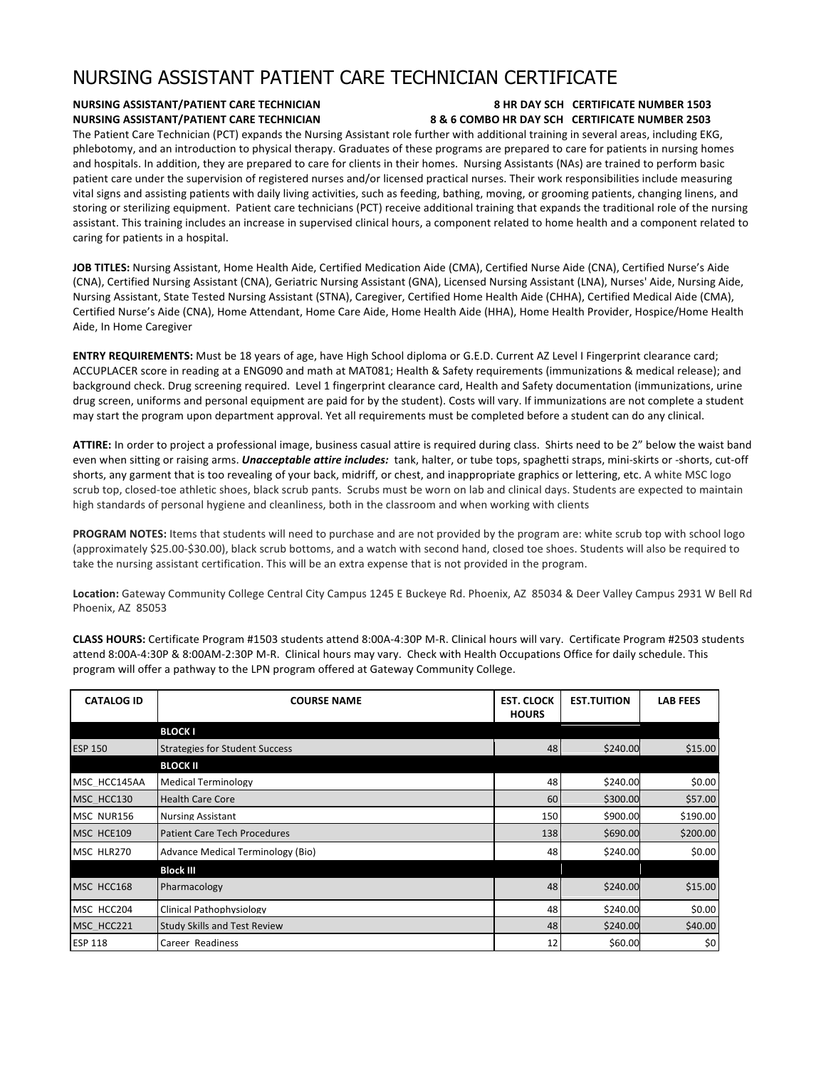## NURSING ASSISTANT PATIENT CARE TECHNICIAN CERTIFICATE

## **NURSING ASSISTANT/PATIENT CARE TECHNICIAN 8 HR DAY SCH CERTIFICATE NUMBER 1503 NURSING ASSISTANT/PATIENT CARE TECHNICIAN** 8 & 6 COMBO HR DAY SCH CERTIFICATE NUMBER 2503

The Patient Care Technician (PCT) expands the Nursing Assistant role further with additional training in several areas, including EKG, phlebotomy, and an introduction to physical therapy. Graduates of these programs are prepared to care for patients in nursing homes and hospitals. In addition, they are prepared to care for clients in their homes. Nursing Assistants (NAs) are trained to perform basic patient care under the supervision of registered nurses and/or licensed practical nurses. Their work responsibilities include measuring vital signs and assisting patients with daily living activities, such as feeding, bathing, moving, or grooming patients, changing linens, and storing or sterilizing equipment. Patient care technicians (PCT) receive additional training that expands the traditional role of the nursing assistant. This training includes an increase in supervised clinical hours, a component related to home health and a component related to caring for patients in a hospital.

JOB TITLES: Nursing Assistant, Home Health Aide, Certified Medication Aide (CMA), Certified Nurse Aide (CNA), Certified Nurse's Aide (CNA), Certified Nursing Assistant (CNA), Geriatric Nursing Assistant (GNA), Licensed Nursing Assistant (LNA), Nurses' Aide, Nursing Aide, Nursing Assistant, State Tested Nursing Assistant (STNA), Caregiver, Certified Home Health Aide (CHHA), Certified Medical Aide (CMA), Certified Nurse's Aide (CNA), Home Attendant, Home Care Aide, Home Health Aide (HHA), Home Health Provider, Hospice/Home Health Aide, In Home Caregiver

**ENTRY REQUIREMENTS:** Must be 18 years of age, have High School diploma or G.E.D. Current AZ Level I Fingerprint clearance card; ACCUPLACER score in reading at a ENG090 and math at MAT081; Health & Safety requirements (immunizations & medical release); and background check. Drug screening required. Level 1 fingerprint clearance card, Health and Safety documentation (immunizations, urine drug screen, uniforms and personal equipment are paid for by the student). Costs will vary. If immunizations are not complete a student may start the program upon department approval. Yet all requirements must be completed before a student can do any clinical.

ATTIRE: In order to project a professional image, business casual attire is required during class. Shirts need to be 2" below the waist band even when sitting or raising arms. *Unacceptable attire includes:* tank, halter, or tube tops, spaghetti straps, mini-skirts or -shorts, cut-off shorts, any garment that is too revealing of your back, midriff, or chest, and inappropriate graphics or lettering, etc. A white MSC logo scrub top, closed-toe athletic shoes, black scrub pants. Scrubs must be worn on lab and clinical days. Students are expected to maintain high standards of personal hygiene and cleanliness, both in the classroom and when working with clients

**PROGRAM NOTES:** Items that students will need to purchase and are not provided by the program are: white scrub top with school logo (approximately \$25.00-\$30.00), black scrub bottoms, and a watch with second hand, closed toe shoes. Students will also be required to take the nursing assistant certification. This will be an extra expense that is not provided in the program.

Location: Gateway Community College Central City Campus 1245 E Buckeye Rd. Phoenix, AZ 85034 & Deer Valley Campus 2931 W Bell Rd Phoenix, AZ 85053

CLASS HOURS: Certificate Program #1503 students attend 8:00A-4:30P M-R. Clinical hours will vary. Certificate Program #2503 students attend 8:00A-4:30P & 8:00AM-2:30P M-R. Clinical hours may vary. Check with Health Occupations Office for daily schedule. This program will offer a pathway to the LPN program offered at Gateway Community College.

| <b>CATALOG ID</b> | <b>COURSE NAME</b>                    | <b>EST. CLOCK</b><br><b>HOURS</b> | <b>EST.TUITION</b> | <b>LAB FEES</b> |
|-------------------|---------------------------------------|-----------------------------------|--------------------|-----------------|
|                   | <b>BLOCK I</b>                        |                                   |                    |                 |
| <b>ESP 150</b>    | <b>Strategies for Student Success</b> | 48                                | \$240.00           | \$15.00         |
|                   | <b>BLOCK II</b>                       |                                   |                    |                 |
| MSC HCC145AA      | <b>Medical Terminology</b>            | 48                                | \$240.00           | \$0.00          |
| MSC HCC130        | <b>Health Care Core</b>               | 60                                | \$300.00           | \$57.00         |
| MSC NUR156        | <b>Nursing Assistant</b>              | 150                               | \$900.00           | \$190.00        |
| MSC HCE109        | <b>Patient Care Tech Procedures</b>   | 138                               | \$690.00           | \$200.00        |
| MSC HLR270        | Advance Medical Terminology (Bio)     | 48                                | \$240.00           | \$0.00          |
|                   | <b>Block III</b>                      |                                   |                    |                 |
| MSC HCC168        | Pharmacology                          | 48                                | \$240.00           | \$15.00         |
| MSC HCC204        | Clinical Pathophysiology              | 48                                | \$240.00           | \$0.00          |
| MSC HCC221        | <b>Study Skills and Test Review</b>   | 48                                | \$240.00           | \$40.00         |
| <b>ESP 118</b>    | Career Readiness                      | 12                                | \$60.00            | \$0             |